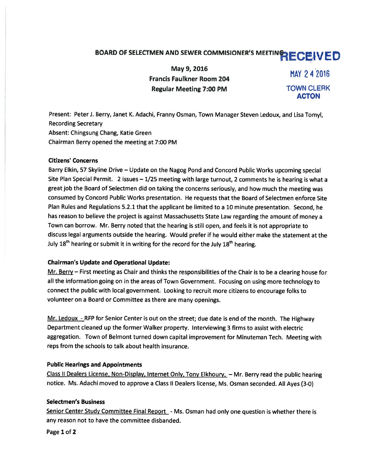# BOARD OF SELECTMEN AND SEWER COMMISIONER'S MEETING RECEIVED

May 9, 2016<br>Francis Faulkner Room 204 MAY 24 2016 Regular Meeting 7:00 PM TOWN CLERK

ACTON

Present: Peter J. Berry, Janet K. Adachi, Franny Osman, Town Manager Steven Ledoux, and Lisa Tomyl, Recording Secretary Absent: Chingsung Chang, Katie Green Chairman Berry opened the meeting at 7:00 PM

#### Citizens' Concerns

Barry Elkin, <sup>57</sup> Skyline Drive — Update on the Nagog Pond and Concord Public Works upcoming special Site Plan Special Permit. <sup>2</sup> issues — 1/25 meeting with large turnout, <sup>2</sup> comments he is hearing is what <sup>a</sup> grea<sup>t</sup> job the Board of Selectmen did on taking the concerns seriously, and how much the meeting was consumed by Concord Public Works presentation. He requests that the Board of Selectmen enforce Site Plan Rules and Regulations 5.2.1 that the applicant be limited to <sup>a</sup> <sup>10</sup> minute presentation. Second, he has reason to believe the project is against Massachusetts State Law regarding the amount of money <sup>a</sup> Town can borrow. Mr. Berry noted that the hearing is still open, and feels it is not appropriate to discuss legal arguments outside the hearing. Would prefer if he would either make the statement at the July 18<sup>th</sup> hearing or submit it in writing for the record for the July 18<sup>th</sup> hearing.

## Chairman's Update and Operational Update:

Mr. Berry – First meeting as Chair and thinks the responsibilities of the Chair is to be a clearing house for all the information going on in the areas of Town Government. Focusing on using more technology to connect the public with local government. Looking to recruit more citizens to encourage folks to volunteer on <sup>a</sup> Board or Committee as there are many openings.

Mr. Ledoux - RFP for Senior Center is out on the street; due date is end of the month. The Highway Department cleaned up the former Walker property. Interviewing 3 firms to assist with electric aggregation. Town of Belmont turned down capital improvement for Minuteman Tech. Meeting with reps from the schools to talk about health insurance.

## Public Hearings and Appointments

Class II Dealers License, Non-Display, Internet Only, Tony Elkhoury, - Mr. Berry read the public hearing notice. Ms. Adachi moved to approve <sup>a</sup> Class II Dealers license, Ms. Osman seconded. All Ayes (3-0)

## Selectmen's Business

Senior Center Study Committee Final Report - Ms. Osman had only one question is whether there is any reason not to have the committee disbanded.

Page 1 of 2